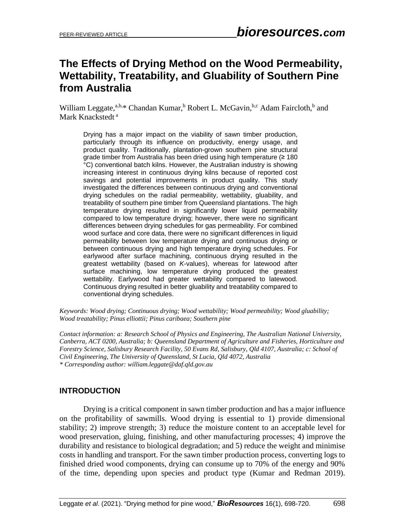# **The Effects of Drying Method on the Wood Permeability, Wettability, Treatability, and Gluability of Southern Pine from Australia**

William Leggate,<sup>a,b,\*</sup> Chandan Kumar,<sup>b</sup> Robert L. McGavin,<sup>b,c</sup> Adam Faircloth,<sup>b</sup> and Mark Knackstedt<sup>a</sup>

Drying has a major impact on the viability of sawn timber production, particularly through its influence on productivity, energy usage, and product quality. Traditionally, plantation-grown southern pine structural grade timber from Australia has been dried using high temperature (≥ 180 °C) conventional batch kilns. However, the Australian industry is showing increasing interest in continuous drying kilns because of reported cost savings and potential improvements in product quality. This study investigated the differences between continuous drying and conventional drying schedules on the radial permeability, wettability, gluability, and treatability of southern pine timber from Queensland plantations. The high temperature drying resulted in significantly lower liquid permeability compared to low temperature drying; however, there were no significant differences between drying schedules for gas permeability. For combined wood surface and core data, there were no significant differences in liquid permeability between low temperature drying and continuous drying or between continuous drying and high temperature drying schedules. For earlywood after surface machining, continuous drying resulted in the greatest wettability (based on *K*-values), whereas for latewood after surface machining, low temperature drying produced the greatest wettability. Earlywood had greater wettability compared to latewood. Continuous drying resulted in better gluability and treatability compared to conventional drying schedules.

*Keywords: Wood drying; Continuous drying; Wood wettability; Wood permeability; Wood gluability; Wood treatability; Pinus elliottii; Pinus caribaea; Southern pine*

*Contact information: a: Research School of Physics and Engineering, The Australian National University, Canberra, ACT 0200, Australia; b: Queensland Department of Agriculture and Fisheries, Horticulture and Forestry Science, Salisbury Research Facility, 50 Evans Rd, Salisbury, Qld 4107, Australia; c: School of Civil Engineering, The University of Queensland, St Lucia, Qld 4072, Australia \* Corresponding author: william.leggate@daf.qld.gov.au*

# **INTRODUCTION**

Drying is a critical component in sawn timber production and has a major influence on the profitability of sawmills. Wood drying is essential to 1) provide dimensional stability; 2) improve strength; 3) reduce the moisture content to an acceptable level for wood preservation, gluing, finishing, and other manufacturing processes; 4) improve the durability and resistance to biological degradation; and 5) reduce the weight and minimise costs in handling and transport. For the sawn timber production process, converting logs to finished dried wood components, drying can consume up to 70% of the energy and 90% of the time, depending upon species and product type (Kumar and Redman 2019).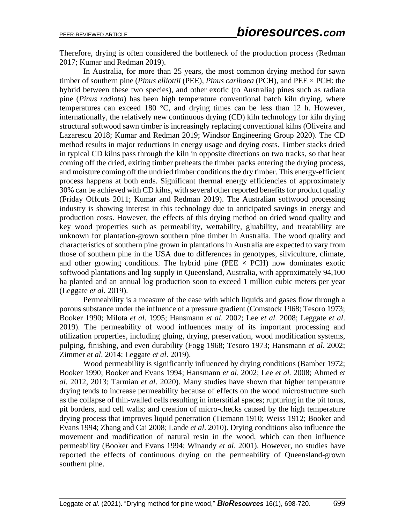Therefore, drying is often considered the bottleneck of the production process (Redman 2017; Kumar and Redman 2019).

In Australia, for more than 25 years, the most common drying method for sawn timber of southern pine (*Pinus elliottii* (PEE), *Pinus caribaea* (PCH), and PEE × PCH: the hybrid between these two species), and other exotic (to Australia) pines such as radiata pine (*Pinus radiata*) has been high temperature conventional batch kiln drying, where temperatures can exceed 180 °C, and drying times can be less than 12 h. However, internationally, the relatively new continuous drying (CD) kiln technology for kiln drying structural softwood sawn timber is increasingly replacing conventional kilns (Oliveira and Lazarescu 2018; Kumar and Redman 2019; Windsor Engineering Group 2020). The CD method results in major reductions in energy usage and drying costs. Timber stacks dried in typical CD kilns pass through the kiln in opposite directions on two tracks, so that heat coming off the dried, exiting timber preheats the timber packs entering the drying process, and moisture coming off the undried timber conditions the dry timber. This energy-efficient process happens at both ends. Significant thermal energy efficiencies of approximately 30% can be achieved with CD kilns, with several other reported benefits for product quality (Friday Offcuts 2011; Kumar and Redman 2019). The Australian softwood processing industry is showing interest in this technology due to anticipated savings in energy and production costs. However, the effects of this drying method on dried wood quality and key wood properties such as permeability, wettability, gluability, and treatability are unknown for plantation-grown southern pine timber in Australia. The wood quality and characteristics of southern pine grown in plantations in Australia are expected to vary from those of southern pine in the USA due to differences in genotypes, silviculture, climate, and other growing conditions. The hybrid pine (PEE  $\times$  PCH) now dominates exotic softwood plantations and log supply in Queensland, Australia, with approximately 94,100 ha planted and an annual log production soon to exceed 1 million cubic meters per year (Leggate *et al*. 2019).

Permeability is a measure of the ease with which liquids and gases flow through a porous substance under the influence of a pressure gradient (Comstock 1968; Tesoro 1973; Booker 1990; Milota *et al*. 1995; Hansmann *et al*. 2002; Lee *et al.* 2008; Leggate *et al*. 2019). The permeability of wood influences many of its important processing and utilization properties, including gluing, drying, preservation, wood modification systems, pulping, finishing, and even durability (Fogg 1968; Tesoro 1973; Hansmann *et al*. 2002; Zimmer *et al*. 2014; Leggate *et al*. 2019).

Wood permeability is significantly influenced by drying conditions (Bamber 1972; Booker 1990; Booker and Evans 1994; Hansmann *et al*. 2002; Lee *et al.* 2008; Ahmed *et al*. 2012, 2013; Tarmian *et al*. 2020). Many studies have shown that higher temperature drying tends to increase permeability because of effects on the wood microstructure such as the collapse of thin-walled cells resulting in interstitial spaces; rupturing in the pit torus, pit borders, and cell walls; and creation of micro-checks caused by the high temperature drying process that improves liquid penetration (Tiemann 1910; Weiss 1912; Booker and Evans 1994; Zhang and Cai 2008; Lande *et al*. 2010). Drying conditions also influence the movement and modification of natural resin in the wood, which can then influence permeability (Booker and Evans 1994; Winandy *et al*. 2001). However, no studies have reported the effects of continuous drying on the permeability of Queensland-grown southern pine.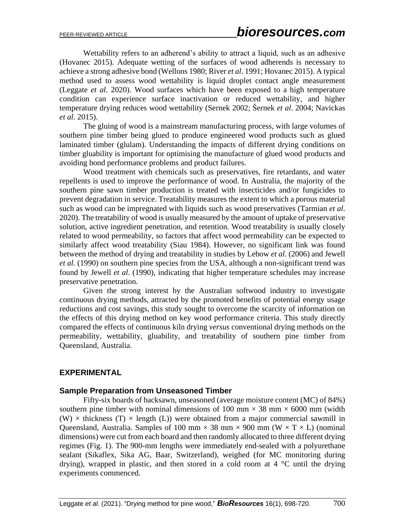Wettability refers to an adherend's ability to attract a liquid, such as an adhesive (Hovanec 2015). Adequate wetting of the surfaces of wood adherends is necessary to achieve a strong adhesive bond (Wellons 1980; River *et al*. 1991; Hovanec 2015). A typical method used to assess wood wettability is liquid droplet contact angle measurement (Leggate *et al*. 2020). Wood surfaces which have been exposed to a high temperature condition can experience surface inactivation or reduced wettability, and higher temperature drying reduces wood wettability (Sernek 2002; Šernek *et al*. 2004; Navickas *et al.* 2015).

The gluing of wood is a mainstream manufacturing process, with large volumes of southern pine timber being glued to produce engineered wood products such as glued laminated timber (glulam). Understanding the impacts of different drying conditions on timber gluability is important for optimising the manufacture of glued wood products and avoiding bond performance problems and product failures.

Wood treatment with chemicals such as preservatives, fire retardants, and water repellents is used to improve the performance of wood. In Australia, the majority of the southern pine sawn timber production is treated with insecticides and/or fungicides to prevent degradation in service. Treatability measures the extent to which a porous material such as wood can be impregnated with liquids such as wood preservatives (Tarmian *et al*. 2020). The treatability of wood is usually measured by the amount of uptake of preservative solution, active ingredient penetration, and retention. Wood treatability is usually closely related to wood permeability, so factors that affect wood permeability can be expected to similarly affect wood treatability (Siau 1984). However, no significant link was found between the method of drying and treatability in studies by Lebow *et al*. (2006) and Jewell *et al.* (1990) on southern pine species from the USA, although a non-significant trend was found by Jewell *et al*. (1990), indicating that higher temperature schedules may increase preservative penetration.

Given the strong interest by the Australian softwood industry to investigate continuous drying methods, attracted by the promoted benefits of potential energy usage reductions and cost savings, this study sought to overcome the scarcity of information on the effects of this drying method on key wood performance criteria. This study directly compared the effects of continuous kiln drying *versus* conventional drying methods on the permeability, wettability, gluability, and treatability of southern pine timber from Queensland, Australia.

## **EXPERIMENTAL**

#### **Sample Preparation from Unseasoned Timber**

Fifty-six boards of backsawn, unseasoned (average moisture content (MC) of 84%) southern pine timber with nominal dimensions of 100 mm  $\times$  38 mm  $\times$  6000 mm (width (W)  $\times$  thickness (T)  $\times$  length (L)) were obtained from a major commercial sawmill in Queensland, Australia. Samples of 100 mm  $\times$  38 mm  $\times$  900 mm (W  $\times$  T  $\times$  L) (nominal dimensions) were cut from each board and then randomly allocated to three different drying regimes (Fig. 1). The 900-mm lengths were immediately end-sealed with a polyurethane sealant (Sikaflex, Sika AG, Baar, Switzerland), weighed (for MC monitoring during drying), wrapped in plastic, and then stored in a cold room at 4 °C until the drying experiments commenced.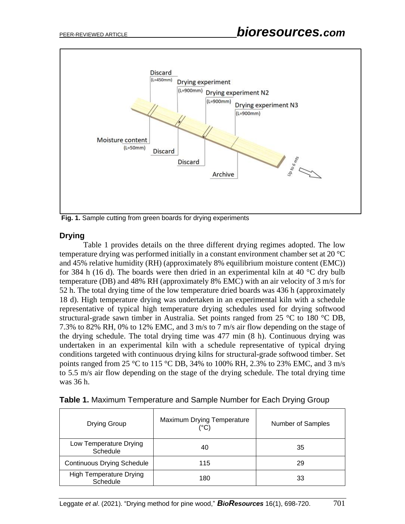

**Fig. 1.** Sample cutting from green boards for drying experiments

## **Drying**

Table 1 provides details on the three different drying regimes adopted. The low temperature drying was performed initially in a constant environment chamber set at 20 °C and 45% relative humidity (RH) (approximately 8% equilibrium moisture content (EMC)) for 384 h (16 d). The boards were then dried in an experimental kiln at 40  $\degree$ C dry bulb temperature (DB) and 48% RH (approximately 8% EMC) with an air velocity of 3 m/s for 52 h. The total drying time of the low temperature dried boards was 436 h (approximately 18 d). High temperature drying was undertaken in an experimental kiln with a schedule representative of typical high temperature drying schedules used for drying softwood structural-grade sawn timber in Australia. Set points ranged from 25 °C to 180 °C DB, 7.3% to 82% RH, 0% to 12% EMC, and 3 m/s to 7 m/s air flow depending on the stage of the drying schedule. The total drying time was 477 min (8 h). Continuous drying was undertaken in an experimental kiln with a schedule representative of typical drying conditions targeted with continuous drying kilns for structural-grade softwood timber. Set points ranged from 25 °C to 115 °C DB, 34% to 100% RH, 2.3% to 23% EMC, and 3 m/s to 5.5 m/s air flow depending on the stage of the drying schedule. The total drying time was 36 h.

| Drying Group                               | Maximum Drying Temperature<br>(°C) | Number of Samples |
|--------------------------------------------|------------------------------------|-------------------|
| Low Temperature Drying<br>Schedule         | 40                                 | 35                |
| <b>Continuous Drying Schedule</b>          | 115                                | 29                |
| <b>High Temperature Drying</b><br>Schedule | 180                                | 33                |

|  | Table 1. Maximum Temperature and Sample Number for Each Drying Group |  |  |
|--|----------------------------------------------------------------------|--|--|
|  |                                                                      |  |  |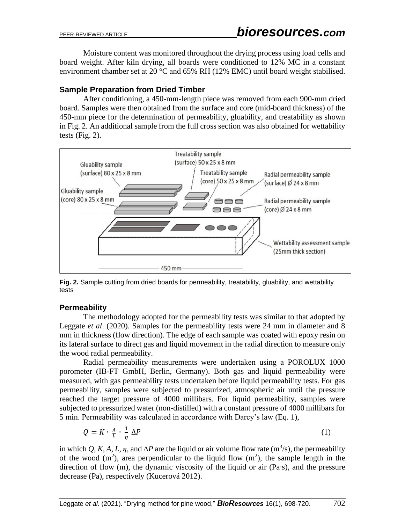Moisture content was monitored throughout the drying process using load cells and board weight. After kiln drying, all boards were conditioned to 12% MC in a constant environment chamber set at 20 °C and 65% RH (12% EMC) until board weight stabilised.

## **Sample Preparation from Dried Timber**

After conditioning, a 450-mm-length piece was removed from each 900-mm dried board. Samples were then obtained from the surface and core (mid-board thickness) of the 450-mm piece for the determination of permeability, gluability, and treatability as shown in Fig. 2. An additional sample from the full cross section was also obtained for wettability tests (Fig. 2).



**Fig. 2.** Sample cutting from dried boards for permeability, treatability, gluability, and wettability tests

# **Permeability**

The methodology adopted for the permeability tests was similar to that adopted by Leggate *et al*. (2020). Samples for the permeability tests were 24 mm in diameter and 8 mm in thickness (flow direction). The edge of each sample was coated with epoxy resin on its lateral surface to direct gas and liquid movement in the radial direction to measure only the wood radial permeability.

Radial permeability measurements were undertaken using a POROLUX 1000 porometer (IB-FT GmbH, Berlin, Germany). Both gas and liquid permeability were measured, with gas permeability tests undertaken before liquid permeability tests. For gas permeability, samples were subjected to pressurized, atmospheric air until the pressure reached the target pressure of 4000 millibars. For liquid permeability, samples were subjected to pressurized water (non-distilled) with a constant pressure of 4000 millibars for 5 min. Permeability was calculated in accordance with Darcy's law (Eq. 1),

$$
Q = K \cdot \frac{A}{L} \cdot \frac{1}{\eta} \Delta P \tag{1}
$$

in which *Q*, *K*, *A*, *L*, *η*, and  $\Delta P$  are the liquid or air volume flow rate (m<sup>3</sup>/s), the permeability of the wood  $(m^2)$ , area perpendicular to the liquid flow  $(m^2)$ , the sample length in the direction of flow (m), the dynamic viscosity of the liquid or air (Pa∙s), and the pressure decrease (Pa), respectively (Kucerová 2012).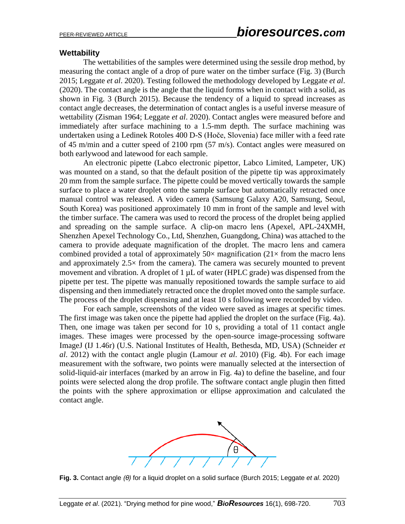#### **Wettability**

The wettabilities of the samples were determined using the sessile drop method, by measuring the contact angle of a drop of pure water on the timber surface (Fig. 3) (Burch 2015; Leggate *et al*. 2020). Testing followed the methodology developed by Leggate *et al*. (2020). The contact angle is the angle that the liquid forms when in contact with a solid, as shown in Fig. 3 (Burch 2015). Because the tendency of a liquid to spread increases as contact angle decreases, the determination of contact angles is a useful inverse measure of wettability (Zisman 1964; Leggate *et al*. 2020). Contact angles were measured before and immediately after surface machining to a 1.5-mm depth. The surface machining was undertaken using a Ledinek Rotoles 400 D-S (Hoče, Slovenia) face miller with a feed rate of 45 m/min and a cutter speed of 2100 rpm (57 m/s). Contact angles were measured on both earlywood and latewood for each sample.

An electronic pipette (Labco electronic pipettor, Labco Limited, Lampeter, UK) was mounted on a stand, so that the default position of the pipette tip was approximately 20 mm from the sample surface. The pipette could be moved vertically towards the sample surface to place a water droplet onto the sample surface but automatically retracted once manual control was released. A video camera (Samsung Galaxy A20, Samsung, Seoul, South Korea) was positioned approximately 10 mm in front of the sample and level with the timber surface. The camera was used to record the process of the droplet being applied and spreading on the sample surface. A clip-on macro lens (Apexel, APL-24XMH, Shenzhen Apexel Technology Co., Ltd, Shenzhen, Guangdong, China) was attached to the camera to provide adequate magnification of the droplet. The macro lens and camera combined provided a total of approximately  $50\times$  magnification ( $21\times$  from the macro lens and approximately  $2.5 \times$  from the camera). The camera was securely mounted to prevent movement and vibration. A droplet of  $1 \mu L$  of water (HPLC grade) was dispensed from the pipette per test. The pipette was manually repositioned towards the sample surface to aid dispensing and then immediately retracted once the droplet moved onto the sample surface. The process of the droplet dispensing and at least 10 s following were recorded by video.

For each sample, screenshots of the video were saved as images at specific times. The first image was taken once the pipette had applied the droplet on the surface (Fig. 4a). Then, one image was taken per second for 10 s, providing a total of 11 contact angle images. These images were processed by the open-source image-processing software ImageJ (IJ 1.46r) (U.S. National Institutes of Health, Bethesda, MD, USA) (Schneider *et al*. 2012) with the contact angle plugin (Lamour *et al*. 2010) (Fig. 4b). For each image measurement with the software, two points were manually selected at the intersection of solid-liquid-air interfaces (marked by an arrow in Fig. 4a) to define the baseline, and four points were selected along the drop profile. The software contact angle plugin then fitted the points with the sphere approximation or ellipse approximation and calculated the contact angle.



**Fig. 3.** Contact angle *(θ)* for a liquid droplet on a solid surface (Burch 2015; Leggate *et al*. 2020)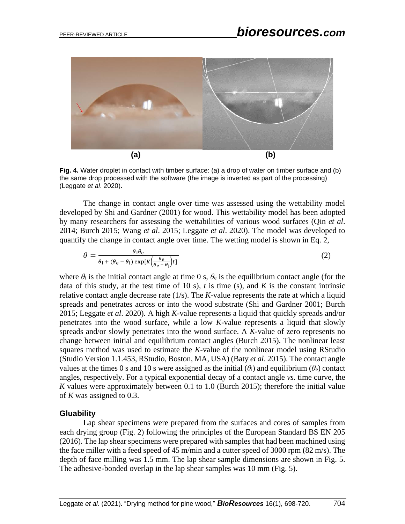

**Fig. 4.** Water droplet in contact with timber surface: (a) a drop of water on timber surface and (b) the same drop processed with the software (the image is inverted as part of the processing) (Leggate *et al*. 2020).

The change in contact angle over time was assessed using the wettability model developed by Shi and Gardner (2001) for wood. This wettability model has been adopted by many researchers for assessing the wettabilities of various wood surfaces (Qin *et al*. 2014; Burch 2015; Wang *et al*. 2015; Leggate *et al*. 2020). The model was developed to quantify the change in contact angle over time. The wetting model is shown in Eq. 2,

$$
\theta = \frac{\theta_{\rm i}\theta_{\rm e}}{\theta_{\rm i} + (\theta_{\rm e} - \theta_{\rm i})\exp[k\left(\frac{\theta_{\rm e}}{\theta_{\rm e} - \theta_{\rm i}}\right)t]}
$$
(2)

where  $\theta_i$  is the initial contact angle at time 0 s,  $\theta_e$  is the equilibrium contact angle (for the data of this study, at the test time of 10 s),  $t$  is time (s), and  $K$  is the constant intrinsic relative contact angle decrease rate (1/s). The *K*-value represents the rate at which a liquid spreads and penetrates across or into the wood substrate (Shi and Gardner 2001; Burch 2015; Leggate *et al*. 2020). A high *K*-value represents a liquid that quickly spreads and/or penetrates into the wood surface, while a low *K*-value represents a liquid that slowly spreads and/or slowly penetrates into the wood surface. A *K*-value of zero represents no change between initial and equilibrium contact angles (Burch 2015). The nonlinear least squares method was used to estimate the *K*-value of the nonlinear model using RStudio (Studio Version 1.1.453, RStudio, Boston, MA, USA) (Baty *et al*. 2015). The contact angle values at the times 0 s and 10 s were assigned as the initial  $(\theta_i)$  and equilibrium  $(\theta_e)$  contact angles, respectively. For a typical exponential decay of a contact angle *vs.* time curve, the *K* values were approximately between 0.1 to 1.0 (Burch 2015); therefore the initial value of *K* was assigned to 0.3.

#### **Gluability**

Lap shear specimens were prepared from the surfaces and cores of samples from each drying group (Fig. 2) following the principles of the European Standard BS EN 205 (2016). The lap shear specimens were prepared with samples that had been machined using the face miller with a feed speed of 45 m/min and a cutter speed of 3000 rpm (82 m/s). The depth of face milling was 1.5 mm. The lap shear sample dimensions are shown in Fig. 5. The adhesive-bonded overlap in the lap shear samples was 10 mm (Fig. 5).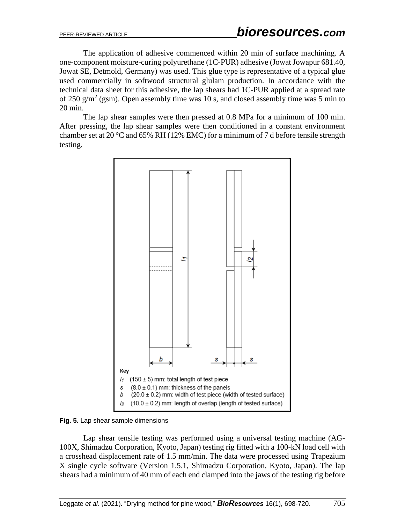The application of adhesive commenced within 20 min of surface machining. A one-component moisture-curing polyurethane (1C-PUR) adhesive (Jowat Jowapur 681.40, Jowat SE, Detmold, Germany) was used. This glue type is representative of a typical glue used commercially in softwood structural glulam production. In accordance with the technical data sheet for this adhesive, the lap shears had 1C-PUR applied at a spread rate of 250  $g/m^2$  (gsm). Open assembly time was 10 s, and closed assembly time was 5 min to 20 min.

The lap shear samples were then pressed at 0.8 MPa for a minimum of 100 min. After pressing, the lap shear samples were then conditioned in a constant environment chamber set at 20  $\degree$ C and 65% RH (12% EMC) for a minimum of 7 d before tensile strength testing.



**Fig. 5.** Lap shear sample dimensions

Lap shear tensile testing was performed using a universal testing machine (AG-100X, Shimadzu Corporation, Kyoto, Japan) testing rig fitted with a 100-kN load cell with a crosshead displacement rate of 1.5 mm/min. The data were processed using Trapezium X single cycle software (Version 1.5.1, Shimadzu Corporation, Kyoto, Japan). The lap shears had a minimum of 40 mm of each end clamped into the jaws of the testing rig before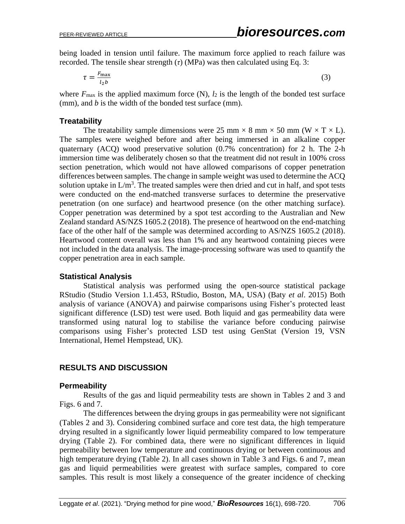being loaded in tension until failure. The maximum force applied to reach failure was recorded. The tensile shear strength  $(\tau)$  (MPa) was then calculated using Eq. 3:

$$
\tau = \frac{F_{\text{max}}}{l_2 b} \tag{3}
$$

where  $F_{\text{max}}$  is the applied maximum force (N),  $l_2$  is the length of the bonded test surface (mm), and *b* is the width of the bonded test surface (mm).

## **Treatability**

The treatability sample dimensions were 25 mm  $\times$  8 mm  $\times$  50 mm (W  $\times$  T  $\times$  L). The samples were weighed before and after being immersed in an alkaline copper quaternary (ACQ) wood preservative solution (0.7% concentration) for 2 h. The 2-h immersion time was deliberately chosen so that the treatment did not result in 100% cross section penetration, which would not have allowed comparisons of copper penetration differences between samples. The change in sample weight was used to determine the ACQ solution uptake in  $L/m<sup>3</sup>$ . The treated samples were then dried and cut in half, and spot tests were conducted on the end-matched transverse surfaces to determine the preservative penetration (on one surface) and heartwood presence (on the other matching surface). Copper penetration was determined by a spot test according to the Australian and New Zealand standard AS/NZS 1605.2 (2018). The presence of heartwood on the end-matching face of the other half of the sample was determined according to AS/NZS 1605.2 (2018). Heartwood content overall was less than 1% and any heartwood containing pieces were not included in the data analysis. The image-processing software was used to quantify the copper penetration area in each sample.

## **Statistical Analysis**

Statistical analysis was performed using the open-source statistical package RStudio (Studio Version 1.1.453, RStudio, Boston, MA, USA) (Baty *et al*. 2015) Both analysis of variance (ANOVA) and pairwise comparisons using Fisher's protected least significant difference (LSD) test were used. Both liquid and gas permeability data were transformed using natural log to stabilise the variance before conducing pairwise comparisons using Fisher's protected LSD test using GenStat (Version 19, VSN International, Hemel Hempstead, UK).

# **RESULTS AND DISCUSSION**

## **Permeability**

Results of the gas and liquid permeability tests are shown in Tables 2 and 3 and Figs. 6 and 7.

The differences between the drying groups in gas permeability were not significant (Tables 2 and 3). Considering combined surface and core test data, the high temperature drying resulted in a significantly lower liquid permeability compared to low temperature drying (Table 2). For combined data, there were no significant differences in liquid permeability between low temperature and continuous drying or between continuous and high temperature drying (Table 2). In all cases shown in Table 3 and Figs. 6 and 7, mean gas and liquid permeabilities were greatest with surface samples, compared to core samples. This result is most likely a consequence of the greater incidence of checking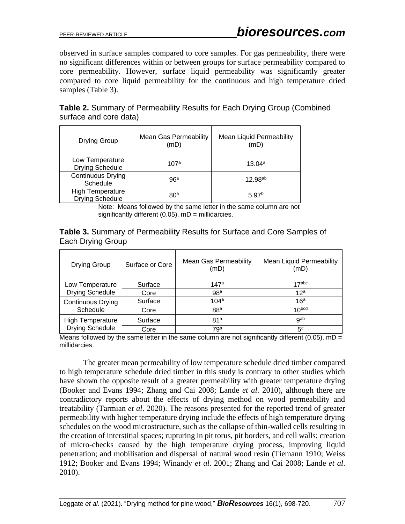observed in surface samples compared to core samples. For gas permeability, there were no significant differences within or between groups for surface permeability compared to core permeability. However, surface liquid permeability was significantly greater compared to core liquid permeability for the continuous and high temperature dried samples (Table 3).

| <b>Table 2.</b> Summary of Permeability Results for Each Drying Group (Combined |  |
|---------------------------------------------------------------------------------|--|
| surface and core data)                                                          |  |

| Drying Group                                      | <b>Mean Gas Permeability</b><br>(mD) | <b>Mean Liquid Permeability</b><br>(mD) |
|---------------------------------------------------|--------------------------------------|-----------------------------------------|
| Low Temperature<br><b>Drying Schedule</b>         | 107a                                 | $13.04^a$                               |
| <b>Continuous Drying</b><br>Schedule              | 96a                                  | $12.98^{ab}$                            |
| <b>High Temperature</b><br><b>Drying Schedule</b> | 80 <sup>a</sup>                      | 5.97 <sup>b</sup>                       |

Note: Means followed by the same letter in the same column are not significantly different  $(0.05)$ . mD = millidarcies.

**Table 3.** Summary of Permeability Results for Surface and Core Samples of Each Drying Group

| Drying Group            | Surface or Core | <b>Mean Gas Permeability</b><br>(mD) | <b>Mean Liquid Permeability</b><br>(mD) |
|-------------------------|-----------------|--------------------------------------|-----------------------------------------|
| Low Temperature         | Surface         | 147a                                 | 17 <sub>abc</sub>                       |
| <b>Drying Schedule</b>  | Core            | 98 <sup>a</sup>                      | 12 <sup>a</sup>                         |
| Continuous Drying       | Surface         | 104a                                 | 16 <sup>a</sup>                         |
| Schedule                | Core            | 88 <sup>a</sup>                      | 10 <sub>pcq</sub>                       |
| <b>High Temperature</b> | Surface         | 81 <sup>a</sup>                      | gab                                     |
| <b>Drying Schedule</b>  | Core            | 79 <sup>a</sup>                      | 5 <sup>c</sup>                          |

Means followed by the same letter in the same column are not significantly different (0.05).  $mD =$ millidarcies.

The greater mean permeability of low temperature schedule dried timber compared to high temperature schedule dried timber in this study is contrary to other studies which have shown the opposite result of a greater permeability with greater temperature drying (Booker and Evans 1994; Zhang and Cai 2008; Lande *et al*. 2010), although there are contradictory reports about the effects of drying method on wood permeability and treatability (Tarmian *et al*. 2020). The reasons presented for the reported trend of greater permeability with higher temperature drying include the effects of high temperature drying schedules on the wood microstructure, such as the collapse of thin-walled cells resulting in the creation of interstitial spaces; rupturing in pit torus, pit borders, and cell walls; creation of micro-checks caused by the high temperature drying process, improving liquid penetration; and mobilisation and dispersal of natural wood resin (Tiemann 1910; Weiss 1912; Booker and Evans 1994; Winandy *et al*. 2001; Zhang and Cai 2008; Lande *et al*. 2010).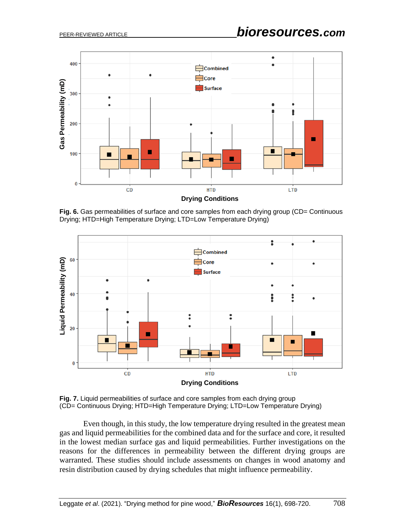

Fig. 6. Gas permeabilities of surface and core samples from each drying group (CD= Continuous Drying; HTD=High Temperature Drying; LTD=Low Temperature Drying)



**Fig. 7.** Liquid permeabilities of surface and core samples from each drying group (CD= Continuous Drying; HTD=High Temperature Drying; LTD=Low Temperature Drying)

Even though, in this study, the low temperature drying resulted in the greatest mean gas and liquid permeabilities for the combined data and for the surface and core, it resulted in the lowest median surface gas and liquid permeabilities. Further investigations on the reasons for the differences in permeability between the different drying groups are warranted. These studies should include assessments on changes in wood anatomy and resin distribution caused by drying schedules that might influence permeability.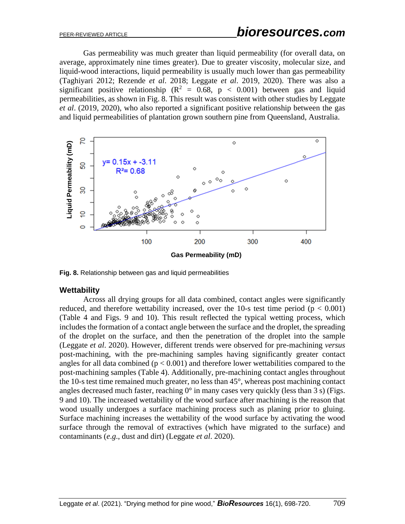Gas permeability was much greater than liquid permeability (for overall data, on average, approximately nine times greater). Due to greater viscosity, molecular size, and liquid-wood interactions, liquid permeability is usually much lower than gas permeability (Taghiyari 2012; Rezende *et al*. 2018; Leggate *et al*. 2019, 2020). There was also a significant positive relationship ( $\mathbb{R}^2 = 0.68$ ,  $p < 0.001$ ) between gas and liquid permeabilities, as shown in Fig. 8. This result was consistent with other studies by Leggate *et al*. (2019, 2020), who also reported a significant positive relationship between the gas and liquid permeabilities of plantation grown southern pine from Queensland, Australia.



**Fig. 8.** Relationship between gas and liquid permeabilities

#### **Wettability**

Across all drying groups for all data combined, contact angles were significantly reduced, and therefore wettability increased, over the 10-s test time period ( $p < 0.001$ ) (Table 4 and Figs. 9 and 10). This result reflected the typical wetting process, which includes the formation of a contact angle between the surface and the droplet, the spreading of the droplet on the surface, and then the penetration of the droplet into the sample (Leggate *et al*. 2020). However, different trends were observed for pre-machining *versus* post-machining, with the pre-machining samples having significantly greater contact angles for all data combined ( $p < 0.001$ ) and therefore lower wettabilities compared to the post-machining samples (Table 4). Additionally, pre-machining contact angles throughout the 10-s test time remained much greater, no less than 45°, whereas post machining contact angles decreased much faster, reaching  $0^{\circ}$  in many cases very quickly (less than 3 s) (Figs. 9 and 10). The increased wettability of the wood surface after machining is the reason that wood usually undergoes a surface machining process such as planing prior to gluing. Surface machining increases the wettability of the wood surface by activating the wood surface through the removal of extractives (which have migrated to the surface) and contaminants (*e*.*g*., dust and dirt) (Leggate *et al*. 2020).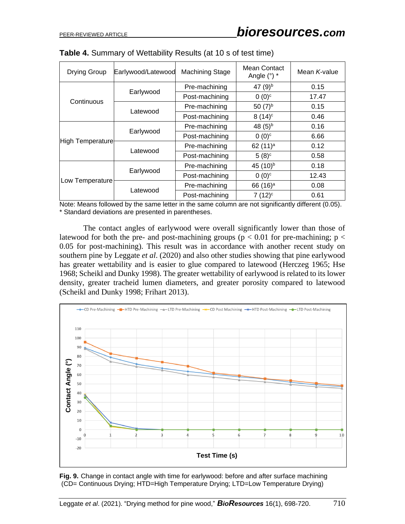| Drying Group     | Earlywood/Latewood | <b>Machining Stage</b> | Mean Contact<br>Angle $(°)$ * | Mean K-value |
|------------------|--------------------|------------------------|-------------------------------|--------------|
|                  |                    | Pre-machining          | 47 $(9)^{b}$                  | 0.15         |
| Continuous       | Earlywood          | Post-machining         | $0(0)^c$                      | 17.47        |
|                  | Latewood           | Pre-machining          | 50 $(7)^{b}$                  | 0.15         |
|                  |                    | Post-machining         | $8(14)^c$                     | 0.46         |
| High Temperature | Earlywood          | Pre-machining          | 48 $(5)^{b}$                  | 0.16         |
|                  |                    | Post-machining         | $0(0)^c$                      | 6.66         |
|                  | Latewood           | Pre-machining          | 62 $(11)^a$                   | 0.12         |
|                  |                    | Post-machining         | $5(8)^c$                      | 0.58         |
| Low Temperature  | Earlywood          | Pre-machining          | 45 (10) <sup>b</sup>          | 0.18         |
|                  |                    | Post-machining         | $0(0)^c$                      | 12.43        |
|                  |                    | Pre-machining          | 66 $(16)^a$                   | 0.08         |
|                  | Latewood           | Post-machining         | $7(12)^{c}$                   | 0.61         |

Note: Means followed by the same letter in the same column are not significantly different (0.05). \* Standard deviations are presented in parentheses.

The contact angles of earlywood were overall significantly lower than those of latewood for both the pre- and post-machining groups ( $p < 0.01$  for pre-machining;  $p <$ 0.05 for post-machining). This result was in accordance with another recent study on southern pine by Leggate *et al*. (2020) and also other studies showing that pine earlywood has greater wettability and is easier to glue compared to latewood (Herczeg 1965; Hse 1968; Scheikl and Dunky 1998). The greater wettability of earlywood is related to its lower density, greater tracheid lumen diameters, and greater porosity compared to latewood (Scheikl and Dunky 1998; Frihart 2013).



**Fig. 9.** Change in contact angle with time for earlywood: before and after surface machining (CD= Continuous Drying; HTD=High Temperature Drying; LTD=Low Temperature Drying)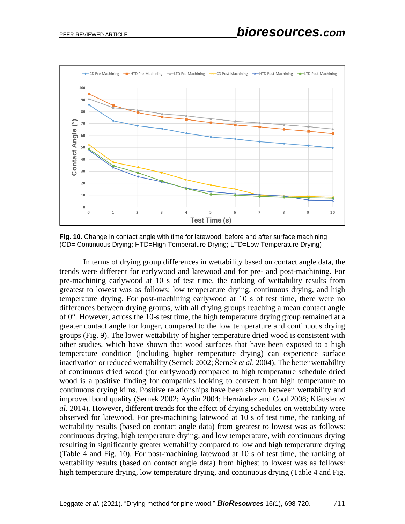

**Fig. 10.** Change in contact angle with time for latewood: before and after surface machining (CD= Continuous Drying; HTD=High Temperature Drying; LTD=Low Temperature Drying)

In terms of drying group differences in wettability based on contact angle data, the trends were different for earlywood and latewood and for pre- and post-machining. For pre-machining earlywood at 10 s of test time, the ranking of wettability results from greatest to lowest was as follows: low temperature drying, continuous drying, and high temperature drying. For post-machining earlywood at 10 s of test time, there were no differences between drying groups, with all drying groups reaching a mean contact angle of 0°. However, across the 10-s test time, the high temperature drying group remained at a greater contact angle for longer, compared to the low temperature and continuous drying groups (Fig. 9). The lower wettability of higher temperature dried wood is consistent with other studies, which have shown that wood surfaces that have been exposed to a high temperature condition (including higher temperature drying) can experience surface inactivation or reduced wettability (Sernek 2002; Šernek *et al*. 2004). The better wettability of continuous dried wood (for earlywood) compared to high temperature schedule dried wood is a positive finding for companies looking to convert from high temperature to continuous drying kilns. Positive relationships have been shown between wettability and improved bond quality (Sernek 2002; Aydin 2004; Hernández and Cool 2008; Kläusler *et al*. 2014). However, different trends for the effect of drying schedules on wettability were observed for latewood. For pre-machining latewood at 10 s of test time, the ranking of wettability results (based on contact angle data) from greatest to lowest was as follows: continuous drying, high temperature drying, and low temperature, with continuous drying resulting in significantly greater wettability compared to low and high temperature drying (Table 4 and Fig. 10). For post-machining latewood at 10 s of test time, the ranking of wettability results (based on contact angle data) from highest to lowest was as follows: high temperature drying, low temperature drying, and continuous drying (Table 4 and Fig.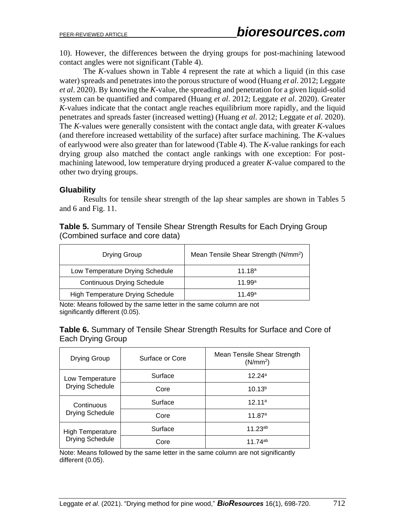10). However, the differences between the drying groups for post-machining latewood contact angles were not significant (Table 4).

The *K*-values shown in Table 4 represent the rate at which a liquid (in this case water) spreads and penetrates into the porous structure of wood (Huang *et al*. 2012; Leggate *et al*. 2020). By knowing the *K*-value, the spreading and penetration for a given liquid-solid system can be quantified and compared (Huang *et al*. 2012; Leggate *et al*. 2020). Greater *K*-values indicate that the contact angle reaches equilibrium more rapidly, and the liquid penetrates and spreads faster (increased wetting) (Huang *et al*. 2012; Leggate *et al*. 2020). The *K*-values were generally consistent with the contact angle data, with greater *K*-values (and therefore increased wettability of the surface) after surface machining. The *K*-values of earlywood were also greater than for latewood (Table 4). The *K*-value rankings for each drying group also matched the contact angle rankings with one exception: For postmachining latewood, low temperature drying produced a greater *K*-value compared to the other two drying groups.

## **Gluability**

Results for tensile shear strength of the lap shear samples are shown in Tables 5 and 6 and Fig. 11.

| Drying Group                            | Mean Tensile Shear Strength (N/mm <sup>2</sup> ) |
|-----------------------------------------|--------------------------------------------------|
| Low Temperature Drying Schedule         | 11.18 <sup>a</sup>                               |
| <b>Continuous Drying Schedule</b>       | 11.99 <sup>a</sup>                               |
| <b>High Temperature Drying Schedule</b> | 11 49 <sup>a</sup>                               |

**Table 5.** Summary of Tensile Shear Strength Results for Each Drying Group (Combined surface and core data)

Note: Means followed by the same letter in the same column are not significantly different (0.05).

**Table 6.** Summary of Tensile Shear Strength Results for Surface and Core of Each Drying Group

| Drying Group                                      | Surface or Core | Mean Tensile Shear Strength<br>(N/mm <sup>2</sup> ) |
|---------------------------------------------------|-----------------|-----------------------------------------------------|
| Low Temperature<br><b>Drying Schedule</b>         | Surface         | 12.24a                                              |
|                                                   | Core            | 10.13 <sup>b</sup>                                  |
| Continuous<br><b>Drying Schedule</b>              | Surface         | 12.11a                                              |
|                                                   | Core            | 11.87a                                              |
| <b>High Temperature</b><br><b>Drying Schedule</b> | Surface         | $11.23^{ab}$                                        |
|                                                   | Core            | 11 $74^{ab}$                                        |

Note: Means followed by the same letter in the same column are not significantly different (0.05).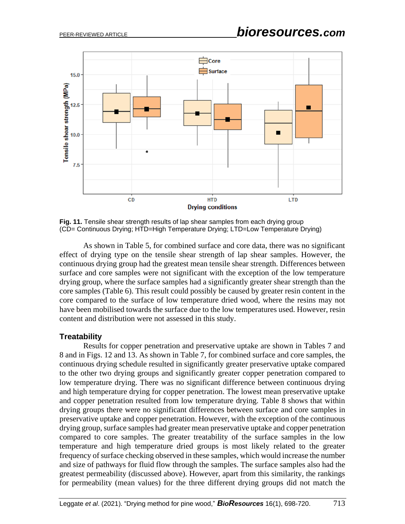

**Fig. 11.** Tensile shear strength results of lap shear samples from each drying group (CD= Continuous Drying; HTD=High Temperature Drying; LTD=Low Temperature Drying)

As shown in Table 5, for combined surface and core data, there was no significant effect of drying type on the tensile shear strength of lap shear samples. However, the continuous drying group had the greatest mean tensile shear strength. Differences between surface and core samples were not significant with the exception of the low temperature drying group, where the surface samples had a significantly greater shear strength than the core samples (Table 6). This result could possibly be caused by greater resin content in the core compared to the surface of low temperature dried wood, where the resins may not have been mobilised towards the surface due to the low temperatures used. However, resin content and distribution were not assessed in this study.

#### **Treatability**

Results for copper penetration and preservative uptake are shown in Tables 7 and 8 and in Figs. 12 and 13. As shown in Table 7, for combined surface and core samples, the continuous drying schedule resulted in significantly greater preservative uptake compared to the other two drying groups and significantly greater copper penetration compared to low temperature drying. There was no significant difference between continuous drying and high temperature drying for copper penetration. The lowest mean preservative uptake and copper penetration resulted from low temperature drying. Table 8 shows that within drying groups there were no significant differences between surface and core samples in preservative uptake and copper penetration. However, with the exception of the continuous drying group, surface samples had greater mean preservative uptake and copper penetration compared to core samples. The greater treatability of the surface samples in the low temperature and high temperature dried groups is most likely related to the greater frequency of surface checking observed in these samples, which would increase the number and size of pathways for fluid flow through the samples. The surface samples also had the greatest permeability (discussed above). However, apart from this similarity, the rankings for permeability (mean values) for the three different drying groups did not match the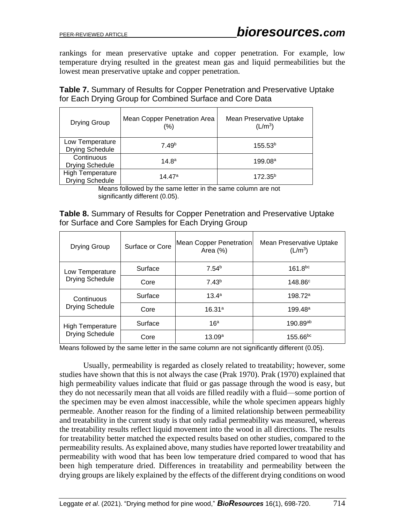rankings for mean preservative uptake and copper penetration. For example, low temperature drying resulted in the greatest mean gas and liquid permeabilities but the lowest mean preservative uptake and copper penetration.

**Table 7.** Summary of Results for Copper Penetration and Preservative Uptake for Each Drying Group for Combined Surface and Core Data

| Drying Group                               | Mean Copper Penetration Area<br>(%) | Mean Preservative Uptake<br>(L/m <sup>3</sup> ) |
|--------------------------------------------|-------------------------------------|-------------------------------------------------|
| Low Temperature<br><b>Drying Schedule</b>  | 7.49 <sup>b</sup>                   | 155.53 <sup>b</sup>                             |
| Continuous<br><b>Drying Schedule</b>       | $14.8^{\rm a}$                      | 199.08 <sup>a</sup>                             |
| <b>High Temperature</b><br>Drying Schedule | 14.47ª                              | $172.35^{b}$                                    |

Means followed by the same letter in the same column are not significantly different (0.05).

**Table 8.** Summary of Results for Copper Penetration and Preservative Uptake for Surface and Core Samples for Each Drying Group

| <b>Drying Group</b>                        | Surface or Core | Mean Copper Penetration<br>Area $(%)$ | Mean Preservative Uptake<br>(L/m <sup>3</sup> ) |
|--------------------------------------------|-----------------|---------------------------------------|-------------------------------------------------|
| Low Temperature<br><b>Drying Schedule</b>  | Surface         | 7.54 <sup>b</sup>                     | $161.8^{bc}$                                    |
|                                            | Core            | 7.43 <sup>b</sup>                     | 148.86c                                         |
| Continuous<br><b>Drying Schedule</b>       | Surface         | $13.4^a$                              | 198.72a                                         |
|                                            | Core            | 16.31a                                | 199.48a                                         |
| <b>High Temperature</b><br>Drying Schedule | Surface         | 16 <sup>a</sup>                       | $190.89^{ab}$                                   |
|                                            | Core            | 13.09a                                | $155.66^{bc}$                                   |

Means followed by the same letter in the same column are not significantly different (0.05).

Usually, permeability is regarded as closely related to treatability; however, some studies have shown that this is not always the case (Prak 1970). Prak (1970) explained that high permeability values indicate that fluid or gas passage through the wood is easy, but they do not necessarily mean that all voids are filled readily with a fluid—some portion of the specimen may be even almost inaccessible, while the whole specimen appears highly permeable. Another reason for the finding of a limited relationship between permeability and treatability in the current study is that only radial permeability was measured, whereas the treatability results reflect liquid movement into the wood in all directions. The results for treatability better matched the expected results based on other studies, compared to the permeability results. As explained above, many studies have reported lower treatability and permeability with wood that has been low temperature dried compared to wood that has been high temperature dried. Differences in treatability and permeability between the drying groups are likely explained by the effects of the different drying conditions on wood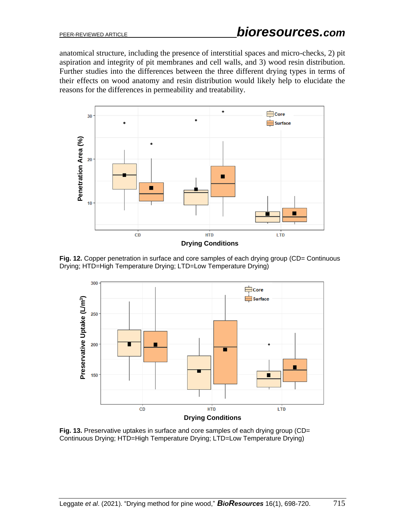anatomical structure, including the presence of interstitial spaces and micro-checks, 2) pit aspiration and integrity of pit membranes and cell walls, and 3) wood resin distribution. Further studies into the differences between the three different drying types in terms of their effects on wood anatomy and resin distribution would likely help to elucidate the reasons for the differences in permeability and treatability.



Fig. 12. Copper penetration in surface and core samples of each drying group (CD= Continuous Drying; HTD=High Temperature Drying; LTD=Low Temperature Drying)



**Fig. 13.** Preservative uptakes in surface and core samples of each drying group (CD= Continuous Drying; HTD=High Temperature Drying; LTD=Low Temperature Drying)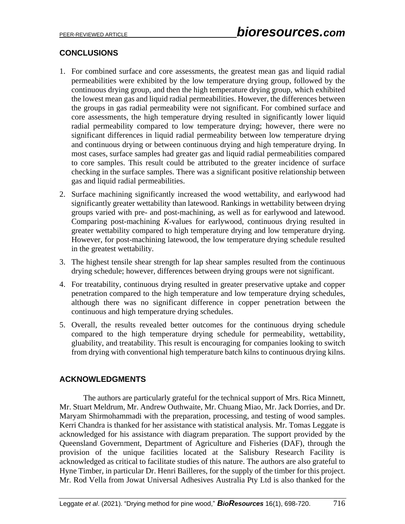# **CONCLUSIONS**

- 1. For combined surface and core assessments, the greatest mean gas and liquid radial permeabilities were exhibited by the low temperature drying group, followed by the continuous drying group, and then the high temperature drying group, which exhibited the lowest mean gas and liquid radial permeabilities. However, the differences between the groups in gas radial permeability were not significant. For combined surface and core assessments, the high temperature drying resulted in significantly lower liquid radial permeability compared to low temperature drying; however, there were no significant differences in liquid radial permeability between low temperature drying and continuous drying or between continuous drying and high temperature drying. In most cases, surface samples had greater gas and liquid radial permeabilities compared to core samples. This result could be attributed to the greater incidence of surface checking in the surface samples. There was a significant positive relationship between gas and liquid radial permeabilities.
- 2. Surface machining significantly increased the wood wettability, and earlywood had significantly greater wettability than latewood. Rankings in wettability between drying groups varied with pre- and post-machining, as well as for earlywood and latewood. Comparing post-machining *K*-values for earlywood, continuous drying resulted in greater wettability compared to high temperature drying and low temperature drying. However, for post-machining latewood, the low temperature drying schedule resulted in the greatest wettability.
- 3. The highest tensile shear strength for lap shear samples resulted from the continuous drying schedule; however, differences between drying groups were not significant.
- 4. For treatability, continuous drying resulted in greater preservative uptake and copper penetration compared to the high temperature and low temperature drying schedules, although there was no significant difference in copper penetration between the continuous and high temperature drying schedules.
- 5. Overall, the results revealed better outcomes for the continuous drying schedule compared to the high temperature drying schedule for permeability, wettability, gluability, and treatability. This result is encouraging for companies looking to switch from drying with conventional high temperature batch kilns to continuous drying kilns.

# **ACKNOWLEDGMENTS**

The authors are particularly grateful for the technical support of Mrs. Rica Minnett, Mr. Stuart Meldrum, Mr. Andrew Outhwaite, Mr. Chuang Miao, Mr. Jack Dorries, and Dr. Maryam Shirmohammadi with the preparation, processing, and testing of wood samples. Kerri Chandra is thanked for her assistance with statistical analysis. Mr. Tomas Leggate is acknowledged for his assistance with diagram preparation. The support provided by the Queensland Government, Department of Agriculture and Fisheries (DAF), through the provision of the unique facilities located at the Salisbury Research Facility is acknowledged as critical to facilitate studies of this nature. The authors are also grateful to Hyne Timber, in particular Dr. Henri Bailleres, for the supply of the timber for this project. Mr. Rod Vella from Jowat Universal Adhesives Australia Pty Ltd is also thanked for the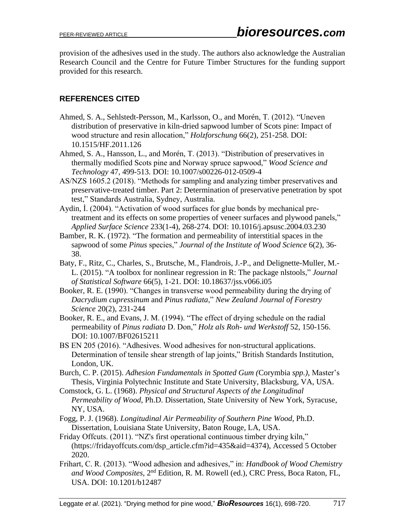provision of the adhesives used in the study. The authors also acknowledge the Australian Research Council and the Centre for Future Timber Structures for the funding support provided for this research.

# **REFERENCES CITED**

- Ahmed, S. A., Sehlstedt-Persson, M., Karlsson, O., and Morén, T. (2012). "Uneven distribution of preservative in kiln-dried sapwood lumber of Scots pine: Impact of wood structure and resin allocation," *Holzforschung* 66(2), 251-258. DOI: 10.1515/HF.2011.126
- Ahmed, S. A., Hansson, L., and Morén, T. (2013). "Distribution of preservatives in thermally modified Scots pine and Norway spruce sapwood," *Wood Science and Technology* 47, 499-513. DOI: 10.1007/s00226-012-0509-4
- AS/NZS 1605.2 (2018). "Methods for sampling and analyzing timber preservatives and preservative-treated timber. Part 2: Determination of preservative penetration by spot test," Standards Australia, Sydney, Australia.
- Aydin, İ. (2004). "Activation of wood surfaces for glue bonds by mechanical pretreatment and its effects on some properties of veneer surfaces and plywood panels," *Applied Surface Science* 233(1-4), 268-274. DOI: 10.1016/j.apsusc.2004.03.230
- Bamber, R. K. (1972). "The formation and permeability of interstitial spaces in the sapwood of some *Pinus* species," *Journal of the Institute of Wood Science* 6(2), 36- 38.
- Baty, F., Ritz, C., Charles, S., Brutsche, M., Flandrois, J.-P., and Delignette-Muller, M.- L. (2015). "A toolbox for nonlinear regression in R: The package nlstools," *Journal of Statistical Software* 66(5), 1-21. DOI: 10.18637/jss.v066.i05
- Booker, R. E. (1990). "Changes in transverse wood permeability during the drying of *Dacrydium cupressinum* and *Pinus radiata*," *New Zealand Journal of Forestry Science* 20(2), 231-244
- Booker, R. E., and Evans, J. M. (1994). "The effect of drying schedule on the radial permeability of *Pinus radiata* D. Don," *Holz als Roh- und Werkstoff* 52, 150-156. DOI: 10.1007/BF02615211
- BS EN 205 (2016). "Adhesives. Wood adhesives for non-structural applications. Determination of tensile shear strength of lap joints," British Standards Institution, London, UK.
- Burch, C. P. (2015). *Adhesion Fundamentals in Spotted Gum (*Corymbia *spp.)*, Master's Thesis, Virginia Polytechnic Institute and State University, Blacksburg, VA, USA.
- Comstock, G. L. (1968). *Physical and Structural Aspects of the Longitudinal Permeability of Wood*, Ph.D. Dissertation, State University of New York, Syracuse, NY, USA.
- Fogg, P. J. (1968). *Longitudinal Air Permeability of Southern Pine Wood*, Ph.D. Dissertation, Louisiana State University, Baton Rouge, LA, USA.
- Friday Offcuts. (2011). "NZ's first operational continuous timber drying kiln," (https://fridayoffcuts.com/dsp\_article.cfm?id=435&aid=4374), Accessed 5 October 2020.
- Frihart, C. R. (2013). "Wood adhesion and adhesives," in: *Handbook of Wood Chemistry and Wood Composites*, 2nd Edition, R. M. Rowell (ed.), CRC Press, Boca Raton, FL, USA. DOI: 10.1201/b12487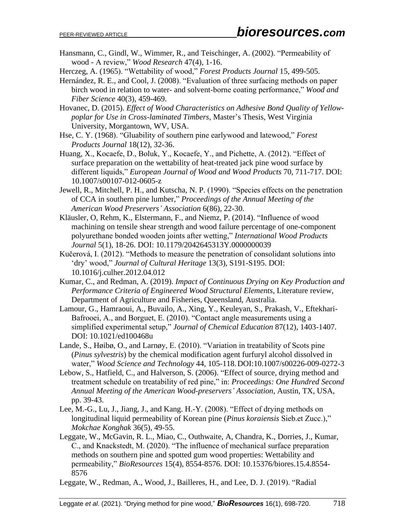Hansmann, C., Gindl, W., Wimmer, R., and Teischinger, A. (2002). "Permeability of wood - A review," *Wood Research* 47(4), 1-16.

Herczeg, A. (1965). "Wettability of wood," *Forest Products Journal* 15, 499-505.

- Hernández, R. E., and Cool, J. (2008). "Evaluation of three surfacing methods on paper birch wood in relation to water- and solvent-borne coating performance," *Wood and Fiber Science* 40(3), 459-469.
- Hovanec, D. (2015). *Effect of Wood Characteristics on Adhesive Bond Quality of Yellowpoplar for Use in Cross-laminated Timbers*, Master's Thesis, West Virginia University, Morgantown, WV, USA.
- Hse, C. Y. (1968). "Gluability of southern pine earlywood and latewood," *Forest Products Journal* 18(12), 32-36.
- Huang, X., Kocaefe, D., Boluk, Y., Kocaefe, Y., and Pichette, A. (2012). "Effect of surface preparation on the wettability of heat-treated jack pine wood surface by different liquids," *European Journal of Wood and Wood Products* 70, 711-717. DOI: 10.1007/s00107-012-0605-z
- Jewell, R., Mitchell, P. H., and Kutscha, N. P. (1990). "Species effects on the penetration of CCA in southern pine lumber," *Proceedings of the Annual Meeting of the American Wood Preservers' Association* 6(86), 22-30.
- Kläusler, O, Rehm, K., Elstermann, F., and Niemz, P. (2014). "Influence of wood machining on tensile shear strength and wood failure percentage of one-component polyurethane bonded wooden joints after wetting," *International Wood Products Journal* 5(1), 18-26. DOI: 10.1179/2042645313Y.0000000039
- Kučerová, I. (2012). "Methods to measure the penetration of consolidant solutions into 'dry' wood," *Journal of Cultural Heritage* 13(3), S191-S195. DOI: 10.1016/j.culher.2012.04.012
- Kumar, C., and Redman, A. (2019). *Impact of Continuous Drying on Key Production and Performance Criteria of Engineered Wood Structural Elements*, Literature review, Department of Agriculture and Fisheries, Queensland, Australia.
- Lamour, G., Hamraoui, A., Buvailo, A., Xing, Y., Keuleyan, S., Prakash, V., Eftekhari-Bafrooei, A., and Borguet, E. (2010). "Contact angle measurements using a simplified experimental setup," *Journal of Chemical Education* 87(12), 1403-1407. DOI: 10.1021/ed100468u
- Lande, S., Høibø, O., and Larnøy, E. (2010). "Variation in treatability of Scots pine (*Pinus sylvestris*) by the chemical modification agent furfuryl alcohol dissolved in water," *Wood Science and Technology* 44, 105-118.DOI:10.1007/s00226-009-0272-3
- Lebow, S., Hatfield, C., and Halverson, S. (2006). "Effect of source, drying method and treatment schedule on treatability of red pine," in: *Proceedings: One Hundred Second Annual Meeting of the American Wood-preservers' Association*, Austin, TX, USA, pp. 39-43.
- Lee, M.-G., Lu, J., Jiang, J., and Kang. H.-Y. (2008). "Effect of drying methods on longitudinal liquid permeability of Korean pine (*Pinus koraiensis* Sieb.et Zucc.)," *Mokchae Konghak* 36(5), 49-55.
- Leggate, W., McGavin, R. L., Miao, C., Outhwaite, A, Chandra, K., Dorries, J., Kumar, C., and Knackstedt, M. (2020). "The influence of mechanical surface preparation methods on southern pine and spotted gum wood properties: Wettability and permeability," *BioResources* 15(4), 8554-8576. DOI: 10.15376/biores.15.4.8554- 8576
- Leggate, W., Redman, A., Wood, J., Bailleres, H., and Lee, D. J. (2019). "Radial

Leggate *et al*. (2021). "Drying method for pine wood," *BioResources* 16(1), 698-720. 718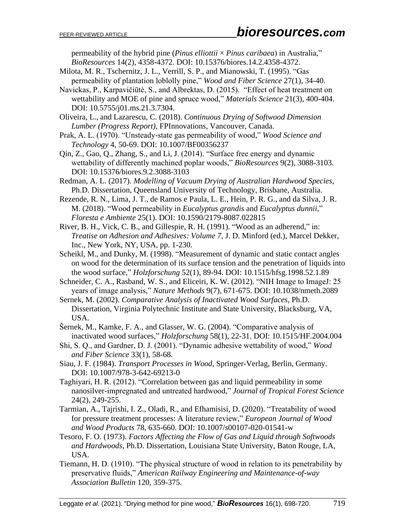permeability of the hybrid pine (*Pinus elliottii* × *Pinus caribaea*) in Australia," *BioResources* 14(2), 4358-4372. DOI: 10.15376/biores.14.2.4358-4372.

- Milota, M. R., Tschernitz, J. L., Verrill, S. P., and Mianowski, T. (1995). "Gas permeability of plantation loblolly pine," *Wood and Fiber Science* 27(1), 34-40.
- Navickas, P., Karpavičiūtė, S., and Albrektas, D. (2015). "Effect of heat treatment on wettability and MOE of pine and spruce wood," *Materials Science* 21(3), 400-404. DOI: 10.5755/j01.ms.21.3.7304.
- Oliveira, L., and Lazarescu, C. (2018). *Continuous Drying of Softwood Dimension Lumber (Progress Report)*, FPInnovations, Vancouver, Canada.
- Prak, A. L. (1970). "Unsteady-state gas permeability of wood," *Wood Science and Technology* 4, 50-69. DOI: 10.1007/BF00356237
- Qin, Z., Gao, Q., Zhang, S., and Li, J. (2014). "Surface free energy and dynamic wettability of differently machined poplar woods," *BioResources* 9(2), 3088-3103. DOI: 10.15376/biores.9.2.3088-3103
- Redman, A. L. (2017). *Modelling of Vacuum Drying of Australian Hardwood Species*, Ph.D. Dissertation, Queensland University of Technology, Brisbane, Australia.
- Rezende, R. N., Lima, J. T., de Ramos e Paula, L. E., Hein, P. R. G., and da Silva, J. R. M. (2018). "Wood permeability in *Eucalyptus grandis* and *Eucalyptus dunnii*," *Floresta e Ambiente* 25(1). DOI: 10.1590/2179-8087.022815
- River, B. H., Vick, C. B., and Gillespie, R. H. (1991). "Wood as an adherend," in: *Treatise on Adhesion and Adhesives: Volume 7*, J. D. Minford (ed.), Marcel Dekker, Inc., New York, NY, USA, pp. 1-230.
- Scheikl, M., and Dunky, M. (1998). "Measurement of dynamic and static contact angles on wood for the determination of its surface tension and the penetration of liquids into the wood surface," *Holzforschung* 52(1), 89-94. DOI: 10.1515/hfsg.1998.52.1.89
- Schneider, C. A., Rasband, W. S., and Eliceiri, K. W. (2012). "NIH Image to ImageJ: 25 years of image analysis," *Nature Methods* 9(7), 671-675. DOI: 10.1038/nmeth.2089
- Sernek, M. (2002). *Comparative Analysis of Inactivated Wood Surfaces*, Ph.D. Dissertation, Virginia Polytechnic Institute and State University, Blacksburg, VA, USA.
- Šernek, M., Kamke, F. A., and Glasser, W. G. (2004). "Comparative analysis of inactivated wood surfaces," *Holzforschung* 58(1), 22-31. DOI: 10.1515/HF.2004.004
- Shi, S. Q., and Gardner, D. J. (2001). "Dynamic adhesive wettability of wood," *Wood and Fiber Science* 33(1), 58-68.
- Siau, J. F. (1984). *Transport Processes in Wood*, Springer-Verlag, Berlin, Germany. DOI: 10.1007/978-3-642-69213-0
- Taghiyari, H. R. (2012). "Correlation between gas and liquid permeability in some nanosilver-impregnated and untreated hardwood," *Journal of Tropical Forest Science* 24(2), 249-255.
- Tarmian, A., Tajrishi, I. Z., Oladi, R., and Efhamisisi, D. (2020). "Treatability of wood for pressure treatment processes: A literature review," *European Journal of Wood and Wood Products* 78, 635-660. DOI: 10.1007/s00107-020-01541-w
- Tesoro, F. O. (1973). *Factors Affecting the Flow of Gas and Liquid through Softwoods and Hardwoods*, Ph.D. Dissertation, Louisiana State University, Baton Rouge, LA, USA.
- Tiemann, H. D. (1910). "The physical structure of wood in relation to its penetrability by preservative fluids," *American Railway Engineering and Maintenance-of-way Association Bulletin* 120, 359-375.